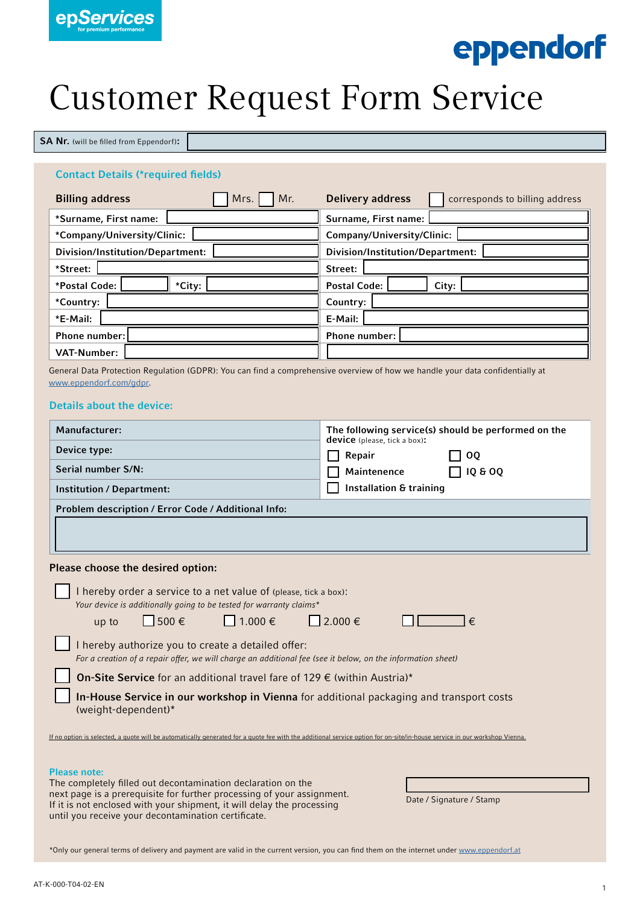

# eppendorf

# Customer Request Form Service

SA Nr. (will be filled from Eppendorf):

### Contact Details (\*required fields)

| Mr.<br><b>Billing address</b><br>Mrs. | <b>Delivery address</b><br>corresponds to billing address |
|---------------------------------------|-----------------------------------------------------------|
| *Surname, First name:                 | Surname, First name:                                      |
| *Company/University/Clinic:           | Company/University/Clinic:                                |
| Division/Institution/Department:      | Division/Institution/Department:                          |
| *Street:                              | Street:                                                   |
| *City:<br>*Postal Code:               | <b>Postal Code:</b><br>City:                              |
| *Country:                             | Country:                                                  |
| *E-Mail:                              | E-Mail:                                                   |
| <b>Phone number:</b>                  | <b>Phone number:</b>                                      |
| <b>VAT-Number:</b>                    |                                                           |

General Data Protection Regulation (GDPR): You can find a comprehensive overview of how we handle your data confidentially at <www.eppendorf.com/gdpr>.

### Details about the device:

| Manufacturer:<br>Device type:<br>Serial number S/N:<br>Institution / Department:<br>Problem description / Error Code / Additional Info:                                                                                                                                                        | The following service(s) should be performed on the<br><b>device</b> (please, tick a box):<br>Repair<br><b>OQ</b><br><b>IQ &amp; OQ</b><br><b>Maintenence</b><br><b>Installation &amp; training</b> |  |  |
|------------------------------------------------------------------------------------------------------------------------------------------------------------------------------------------------------------------------------------------------------------------------------------------------|-----------------------------------------------------------------------------------------------------------------------------------------------------------------------------------------------------|--|--|
|                                                                                                                                                                                                                                                                                                |                                                                                                                                                                                                     |  |  |
| Please choose the desired option:                                                                                                                                                                                                                                                              |                                                                                                                                                                                                     |  |  |
| I hereby order a service to a net value of (please, tick a box):<br>Your device is additionally going to be tested for warranty claims*<br>$\Box$ 1.000 $\epsilon$<br>$500 \in$<br>up to                                                                                                       | $\bigcap$ 2.000 €<br>€                                                                                                                                                                              |  |  |
| I hereby authorize you to create a detailed offer:<br>For a creation of a repair offer, we will charge an additional fee (see it below, on the information sheet)                                                                                                                              |                                                                                                                                                                                                     |  |  |
| On-Site Service for an additional travel fare of 129 € (within Austria)*                                                                                                                                                                                                                       |                                                                                                                                                                                                     |  |  |
| In-House Service in our workshop in Vienna for additional packaging and transport costs<br>(weight-dependent)*                                                                                                                                                                                 |                                                                                                                                                                                                     |  |  |
| If no option is selected, a quote will be automatically generated for a quote fee with the additional service option for on-site/in-house service in our workshop Vienna.                                                                                                                      |                                                                                                                                                                                                     |  |  |
| <b>Please note:</b><br>The completely filled out decontamination declaration on the<br>next page is a prerequisite for further processing of your assignment.<br>If it is not enclosed with your shipment, it will delay the processing<br>until you receive your decontamination certificate. | Date / Signature / Stamp                                                                                                                                                                            |  |  |

\*Only our general terms of delivery and payment are valid in the current version, you can find them on the internet under<www.eppendorf.at>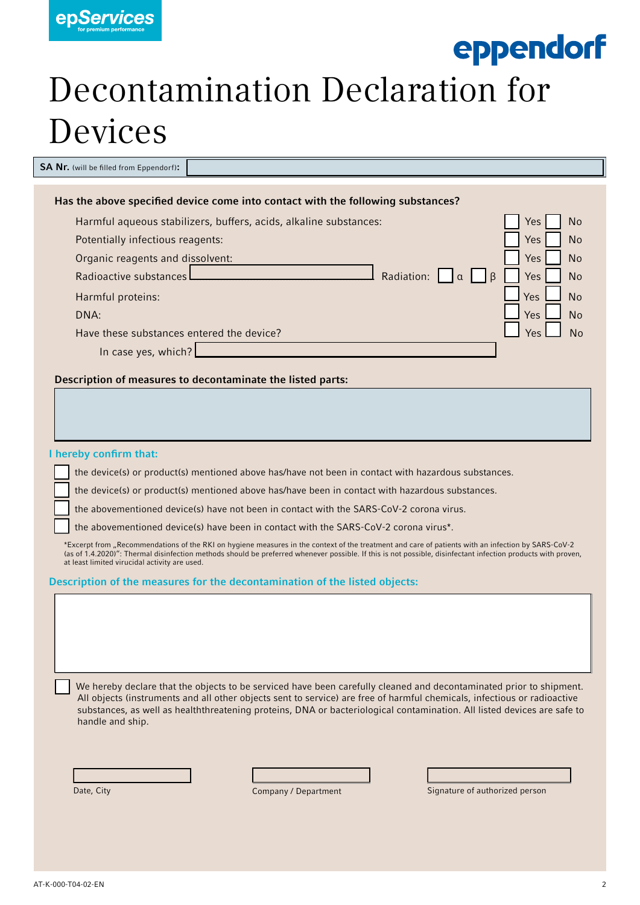

### eppendorf

## Decontamination Declaration for Devices

SA Nr. (will be filled from Eppendorf):

| Has the above specified device come into contact with the following substances? |                   |
|---------------------------------------------------------------------------------|-------------------|
| Harmful aqueous stabilizers, buffers, acids, alkaline substances:               | <b>No</b><br>Yes: |
| Potentially infectious reagents:                                                | <b>No</b><br>Yes  |
| Organic reagents and dissolvent:                                                | <b>No</b><br>Yes: |
| Radioactive substances<br>Radiation:<br><sup>R</sup><br>Iα                      | Yes<br>No         |
| Harmful proteins:                                                               | Yes<br>No         |
| DNA:                                                                            | <b>Yes</b><br>No  |
| Have these substances entered the device?                                       | Yes               |
| In case yes, which?                                                             |                   |
|                                                                                 |                   |

### Description of measures to decontaminate the listed parts:

#### I hereby confirm that:

the device(s) or product(s) mentioned above has/have not been in contact with hazardous substances.

the device(s) or product(s) mentioned above has/have been in contact with hazardous substances.

the abovementioned device(s) have not been in contact with the SARS-CoV-2 corona virus.

the abovementioned device(s) have been in contact with the SARS-CoV-2 corona virus\*.

\*Excerpt from "Recommendations of the RKI on hygiene measures in the context of the treatment and care of patients with an infection by SARS-CoV-2 (as of 1.4.2020)": Thermal disinfection methods should be preferred whenever possible. If this is not possible, disinfectant infection products with proven, at least limited virucidal activity are used.

### Description of the measures for the decontamination of the listed objects:

 We hereby declare that the objects to be serviced have been carefully cleaned and decontaminated prior to shipment. All objects (instruments and all other objects sent to service) are free of harmful chemicals, infectious or radioactive substances, as well as healththreatening proteins, DNA or bacteriological contamination. All listed devices are safe to handle and ship.

Company / Department Signature of authorized person